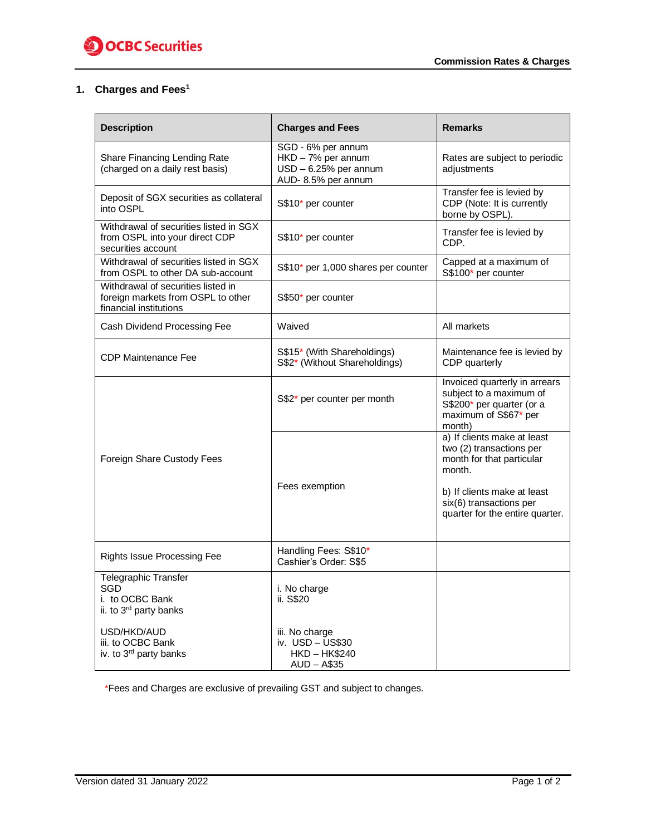

## **1. Charges and Fees<sup>1</sup>**

| <b>Description</b>                                                                                 | <b>Charges and Fees</b>                                                                 | <b>Remarks</b>                                                                                                                                           |
|----------------------------------------------------------------------------------------------------|-----------------------------------------------------------------------------------------|----------------------------------------------------------------------------------------------------------------------------------------------------------|
| Share Financing Lending Rate<br>(charged on a daily rest basis)                                    | SGD - 6% per annum<br>HKD - 7% per annum<br>USD - 6.25% per annum<br>AUD-8.5% per annum | Rates are subject to periodic<br>adjustments                                                                                                             |
| Deposit of SGX securities as collateral<br>into OSPL                                               | S\$10* per counter                                                                      | Transfer fee is levied by<br>CDP (Note: It is currently<br>borne by OSPL).                                                                               |
| Withdrawal of securities listed in SGX<br>from OSPL into your direct CDP<br>securities account     | S\$10* per counter                                                                      | Transfer fee is levied by<br>CDP.                                                                                                                        |
| Withdrawal of securities listed in SGX<br>from OSPL to other DA sub-account                        | S\$10* per 1,000 shares per counter                                                     | Capped at a maximum of<br>S\$100* per counter                                                                                                            |
| Withdrawal of securities listed in<br>foreign markets from OSPL to other<br>financial institutions | S\$50* per counter                                                                      |                                                                                                                                                          |
| Cash Dividend Processing Fee                                                                       | Waived                                                                                  | All markets                                                                                                                                              |
| <b>CDP Maintenance Fee</b>                                                                         | S\$15* (With Shareholdings)<br>S\$2* (Without Shareholdings)                            | Maintenance fee is levied by<br>CDP quarterly                                                                                                            |
|                                                                                                    | S\$2* per counter per month                                                             | Invoiced quarterly in arrears<br>subject to a maximum of<br>S\$200* per quarter (or a<br>maximum of S\$67* per<br>month)                                 |
| Foreign Share Custody Fees                                                                         | Fees exemption                                                                          | a) If clients make at least<br>two (2) transactions per<br>month for that particular<br>month.<br>b) If clients make at least<br>six(6) transactions per |
|                                                                                                    |                                                                                         | quarter for the entire quarter.                                                                                                                          |
| <b>Rights Issue Processing Fee</b>                                                                 | Handling Fees: S\$10*<br>Cashier's Order: S\$5                                          |                                                                                                                                                          |
| <b>Telegraphic Transfer</b><br>SGD<br>i. to OCBC Bank<br>ii. to 3 <sup>rd</sup> party banks        | i. No charge<br>ii. S\$20                                                               |                                                                                                                                                          |
| USD/HKD/AUD<br>iii. to OCBC Bank<br>iv. to 3 <sup>rd</sup> party banks                             | iii. No charge<br>iv. USD - US\$30<br><b>HKD-HK\$240</b><br>$AUD - A$35$                |                                                                                                                                                          |

\*Fees and Charges are exclusive of prevailing GST and subject to changes.